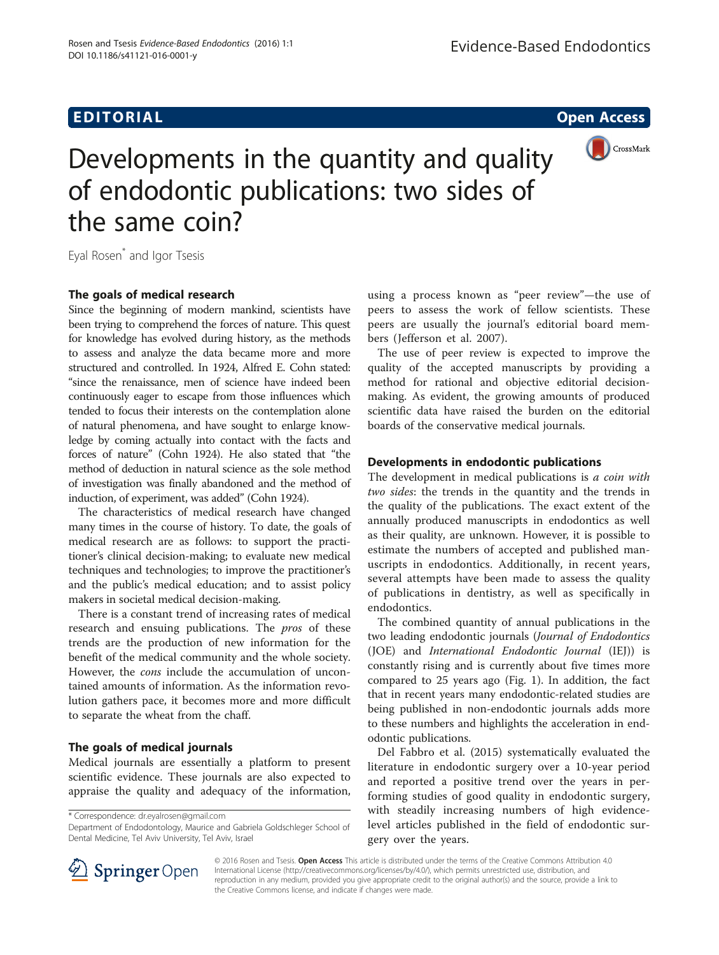# **EDITORIAL** CONTROL CONTROL CONTROL CONTROL CONTROL CONTROL CONTROL CONTROL CONTROL CONTROL CONTROL CONTROL CONTROL CONTROL CONTROL CONTROL CONTROL CONTROL CONTROL CONTROL CONTROL CONTROL CONTROL CONTROL CONTROL CONTROL CO



Eyal Rosen\* and Igor Tsesis

### The goals of medical research

Since the beginning of modern mankind, scientists have been trying to comprehend the forces of nature. This quest for knowledge has evolved during history, as the methods to assess and analyze the data became more and more structured and controlled. In 1924, Alfred E. Cohn stated: "since the renaissance, men of science have indeed been continuously eager to escape from those influences which tended to focus their interests on the contemplation alone of natural phenomena, and have sought to enlarge knowledge by coming actually into contact with the facts and forces of nature" (Cohn [1924\)](#page-1-0). He also stated that "the method of deduction in natural science as the sole method of investigation was finally abandoned and the method of induction, of experiment, was added" (Cohn [1924](#page-1-0)).

The characteristics of medical research have changed many times in the course of history. To date, the goals of medical research are as follows: to support the practitioner's clinical decision-making; to evaluate new medical techniques and technologies; to improve the practitioner's and the public's medical education; and to assist policy makers in societal medical decision-making.

There is a constant trend of increasing rates of medical research and ensuing publications. The *pros* of these trends are the production of new information for the benefit of the medical community and the whole society. However, the cons include the accumulation of uncontained amounts of information. As the information revolution gathers pace, it becomes more and more difficult to separate the wheat from the chaff.

### The goals of medical journals

Medical journals are essentially a platform to present scientific evidence. These journals are also expected to appraise the quality and adequacy of the information,

\* Correspondence: [dr.eyalrosen@gmail.com](mailto:dr.eyalrosen@gmail.com)

Department of Endodontology, Maurice and Gabriela Goldschleger School of Dental Medicine, Tel Aviv University, Tel Aviv, Israel

using a process known as "peer review"—the use of peers to assess the work of fellow scientists. These peers are usually the journal's editorial board members (Jefferson et al. [2007\)](#page-1-0).

The use of peer review is expected to improve the quality of the accepted manuscripts by providing a method for rational and objective editorial decisionmaking. As evident, the growing amounts of produced scientific data have raised the burden on the editorial boards of the conservative medical journals.

#### Developments in endodontic publications

The development in medical publications is *a coin with* two sides: the trends in the quantity and the trends in the quality of the publications. The exact extent of the annually produced manuscripts in endodontics as well as their quality, are unknown. However, it is possible to estimate the numbers of accepted and published manuscripts in endodontics. Additionally, in recent years, several attempts have been made to assess the quality of publications in dentistry, as well as specifically in endodontics.

The combined quantity of annual publications in the two leading endodontic journals (Journal of Endodontics (JOE) and International Endodontic Journal (IEJ)) is constantly rising and is currently about five times more compared to 25 years ago (Fig. [1](#page-1-0)). In addition, the fact that in recent years many endodontic-related studies are being published in non-endodontic journals adds more to these numbers and highlights the acceleration in endodontic publications.

Del Fabbro et al. ([2015](#page-1-0)) systematically evaluated the literature in endodontic surgery over a 10-year period and reported a positive trend over the years in performing studies of good quality in endodontic surgery, with steadily increasing numbers of high evidencelevel articles published in the field of endodontic surgery over the years.



© 2016 Rosen and Tsesis. Open Access This article is distributed under the terms of the Creative Commons Attribution 4.0 International License ([http://creativecommons.org/licenses/by/4.0/\)](http://creativecommons.org/licenses/by/4.0/), which permits unrestricted use, distribution, and reproduction in any medium, provided you give appropriate credit to the original author(s) and the source, provide a link to the Creative Commons license, and indicate if changes were made.